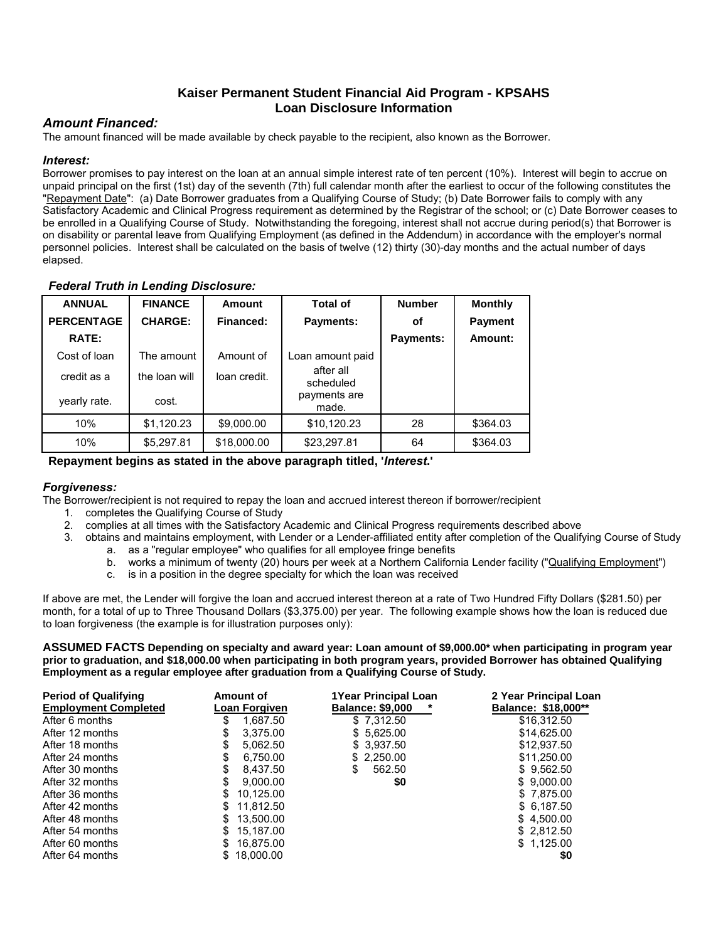# **Kaiser Permanent Student Financial Aid Program - KPSAHS Loan Disclosure Information**

# *Amount Financed:*

The amount financed will be made available by check payable to the recipient, also known as the Borrower.

# *Interest:*

Borrower promises to pay interest on the loan at an annual simple interest rate of ten percent (10%). Interest will begin to accrue on unpaid principal on the first (1st) day of the seventh (7th) full calendar month after the earliest to occur of the following constitutes the "Repayment Date": (a) Date Borrower graduates from a Qualifying Course of Study; (b) Date Borrower fails to comply with any Satisfactory Academic and Clinical Progress requirement as determined by the Registrar of the school; or (c) Date Borrower ceases to be enrolled in a Qualifying Course of Study. Notwithstanding the foregoing, interest shall not accrue during period(s) that Borrower is on disability or parental leave from Qualifying Employment (as defined in the Addendum) in accordance with the employer's normal personnel policies. Interest shall be calculated on the basis of twelve (12) thirty (30)-day months and the actual number of days elapsed.

# *Federal Truth in Lending Disclosure:*

| <b>ANNUAL</b>     | <b>FINANCE</b> | <b>Amount</b> | <b>Total of</b>        | <b>Number</b> | <b>Monthly</b> |
|-------------------|----------------|---------------|------------------------|---------------|----------------|
| <b>PERCENTAGE</b> | <b>CHARGE:</b> | Financed:     | <b>Payments:</b>       | οf            | <b>Payment</b> |
| RATE:             |                |               |                        | Payments:     | Amount:        |
| Cost of loan      | The amount     | Amount of     | Loan amount paid       |               |                |
| credit as a       | the loan will  | loan credit.  | after all<br>scheduled |               |                |
| yearly rate.      | cost.          |               | payments are<br>made.  |               |                |
| 10%               | \$1,120.23     | \$9,000.00    | \$10,120.23            | 28            | \$364.03       |
| 10%               | \$5,297.81     | \$18,000.00   | \$23,297.81            | 64            | \$364.03       |

## **Repayment begins as stated in the above paragraph titled, '***Interest***.'**

## *Forgiveness:*

The Borrower/recipient is not required to repay the loan and accrued interest thereon if borrower/recipient

- 1. completes the Qualifying Course of Study
- 2. complies at all times with the Satisfactory Academic and Clinical Progress requirements described above
- 3. obtains and maintains employment, with Lender or a Lender-affiliated entity after completion of the Qualifying Course of Study a. as a "regular employee" who qualifies for all employee fringe benefits
	- b. works a minimum of twenty (20) hours per week at a Northern California Lender facility ("Qualifying Employment")
	- c. is in a position in the degree specialty for which the loan was received

If above are met, the Lender will forgive the loan and accrued interest thereon at a rate of Two Hundred Fifty Dollars (\$281.50) per month, for a total of up to Three Thousand Dollars (\$3,375.00) per year. The following example shows how the loan is reduced due to loan forgiveness (the example is for illustration purposes only):

**ASSUMED FACTS Depending on specialty and award year: Loan amount of \$9,000.00\* when participating in program year prior to graduation, and \$18,000.00 when participating in both program years, provided Borrower has obtained Qualifying Employment as a regular employee after graduation from a Qualifying Course of Study.**

| <b>Period of Qualifying</b><br><b>Employment Completed</b> | Amount of<br>Loan Forgiven | <b>1Year Principal Loan</b><br><b>Balance: \$9,000</b> | 2 Year Principal Loan<br><b>Balance: \$18,000**</b> |
|------------------------------------------------------------|----------------------------|--------------------------------------------------------|-----------------------------------------------------|
| After 6 months                                             | 1,687.50<br>\$             | \$7,312.50                                             | \$16,312.50                                         |
| After 12 months                                            | 3.375.00<br>S              | \$5.625.00                                             | \$14,625,00                                         |
| After 18 months                                            | 5.062.50<br>S              | \$3,937.50                                             | \$12,937.50                                         |
| After 24 months                                            | 6.750.00<br>S              | \$2,250.00                                             | \$11,250.00                                         |
| After 30 months                                            | \$<br>8.437.50             | 562.50<br>\$                                           | \$9,562.50                                          |
| After 32 months                                            | 9.000.00<br>S              | \$0                                                    | \$9.000.00                                          |
| After 36 months                                            | 10,125.00<br>S             |                                                        | \$7,875.00                                          |
| After 42 months                                            | 11.812.50<br>S             |                                                        | \$ 6.187.50                                         |
| After 48 months                                            | 13.500.00<br>\$.           |                                                        | \$4.500.00                                          |
| After 54 months                                            | 15.187.00                  |                                                        | \$ 2.812.50                                         |
| After 60 months                                            | 16,875.00                  |                                                        | \$1,125.00                                          |
| After 64 months                                            | 18.000.00                  |                                                        | \$0                                                 |